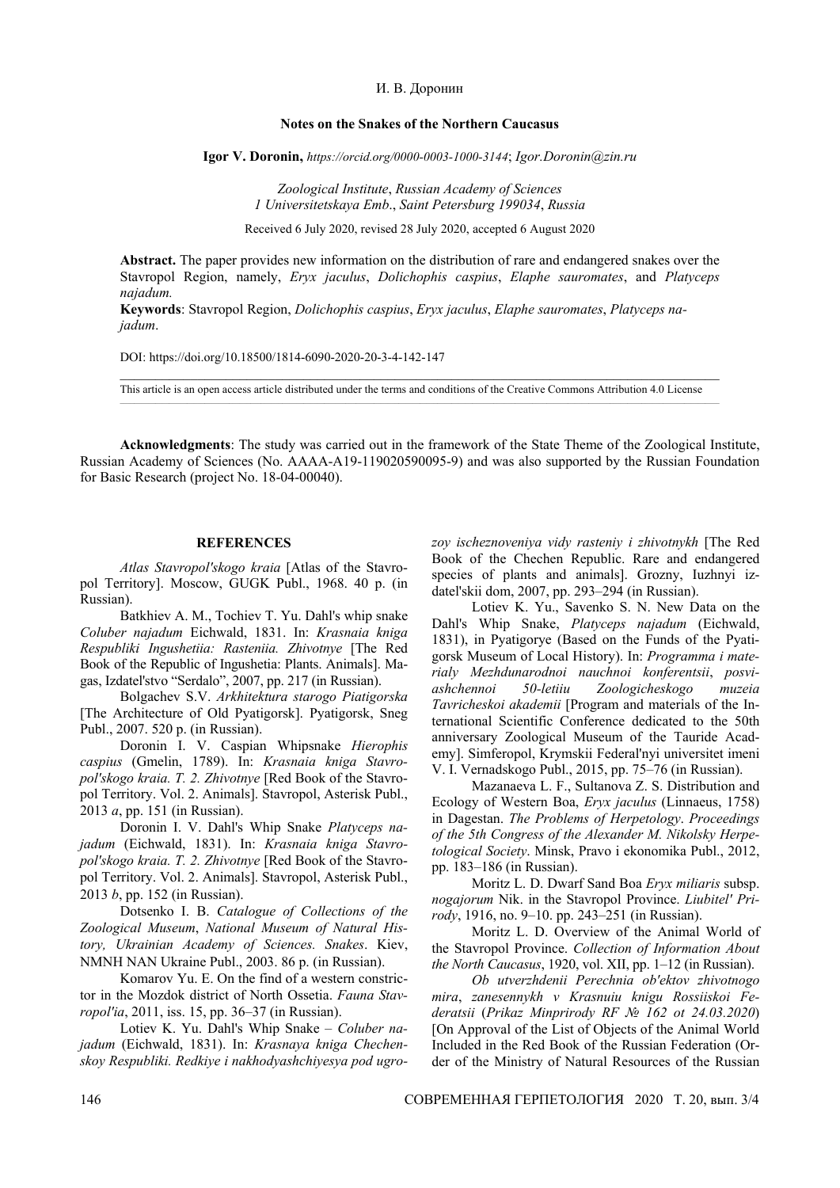## И. В. Доронин

## **Notes on the Snakes of the Northern Caucasus**

**Igor V. Doronin,** *https://orcid.org/0000-0003-1000-3144*; *Igor.Doronin*@*zin.ru*

*Zoological Institute*, *Russian Academy of Sciences 1 Universitetskaya Emb*., *Saint Petersburg 199034*, *Russia*

Received 6 July 2020, revised 28 July 2020, accepted 6 August 2020

**Abstract.** The paper provides new information on the distribution of rare and endangered snakes over the Stavropol Region, namely, *Eryx jaculus*, *Dolichophis caspius*, *Elaphe sauromates*, and *Platyceps najadum.*

**Keywords**: Stavropol Region, *Dolichophis caspius*, *Eryx jaculus*, *Elaphe sauromates*, *Platyceps najadum*.

DOI: https://doi.org/10.18500/1814-6090-2020-20-3-4-142-147

This article is an open access article distributed under the terms and conditions of the Creative Commons Attribution 4.0 License

**Acknowledgments**: The study was carried out in the framework of the State Theme of the Zoological Institute, Russian Academy of Sciences (No. АААА-А19-119020590095-9) and was also supported by the Russian Foundation for Basic Research (project No. 18-04-00040).

## **REFERENCES**

*Atlas Stavropol'skogo kraia* [Atlas of the Stavropol Territory]. Moscow, GUGK Publ., 1968. 40 p. (in Russian).

Batkhiev A. M., Tochiev T. Yu. Dahl's whip snake *Сoluber najadum* Eichwald, 1831. In: *Krasnaia kniga Respubliki Ingushetiia: Rasteniia. Zhivotnye* [The Red Book of the Republic of Ingushetia: Plants. Animals]. Magas, Izdatel'stvo "Serdalo", 2007, pp. 217 (in Russian).

Bolgachev S.V. *Arkhitektura starogo Piatigorska* [The Architecture of Old Pyatigorsk]. Pyatigorsk, Sneg Publ., 2007. 520 p. (in Russian).

Doronin I. V. Caspian Whipsnake *Hierophis caspius* (Gmelin, 1789). In: *Krasnaia kniga Stavropol'skogo kraia. T. 2. Zhivotnye* [Red Book of the Stavropol Territory. Vol. 2. Animals]. Stavropol, Asterisk Publ., 2013 *a*, pp. 151 (in Russian).

Doronin I. V. Dahl's Whip Snake *Platyceps najadum* (Eichwald, 1831). In: *Krasnaia kniga Stavropol'skogo kraia. T. 2. Zhivotnye* [Red Book of the Stavropol Territory. Vol. 2. Animals]. Stavropol, Asterisk Publ., 2013 *b*, pp. 152 (in Russian).

Dotsenko I. B. *Catalogue of Collections of the Zoological Museum*, *National Museum of Natural History, Ukrainian Academy of Sciences. Snakes*. Kiev, NMNH NAN Ukraine Publ., 2003. 86 p. (in Russian).

Komarov Yu. E. On the find of a western constrictor in the Mozdok district of North Ossetia. *Fauna Stavropol'ia*, 2011, iss. 15, pp. 36–37 (in Russian).

Lotiev K. Yu. Dahl's Whip Snake – *Coluber najadum* (Eichwald, 1831). In: *Krasnaya kniga Chechenskoy Respubliki. Redkiye i nakhodyashchiyesya pod ugro-* *zoy ischeznoveniya vidy rasteniy i zhivotnykh* [The Red Book of the Chechen Republic. Rare and endangered species of plants and animals]. Grozny, Iuzhnyi izdatel'skii dom, 2007, pp. 293–294 (in Russian).

Lotiev K. Yu., Savenko S. N. New Data on the Dahl's Whip Snake, *Platyceps najadum* (Eichwald, 1831), in Pyatigorye (Based on the Funds of the Pyatigorsk Museum of Local History). In: *Programma i materialy Mezhdunarodnoi nauchnoi konferentsii*, *posviashchennoi 50-letiiu Zoologicheskogo muzeia Tavricheskoi akademii* [Program and materials of the International Scientific Conference dedicated to the 50th anniversary Zoological Museum of the Tauride Academy]. Simferopol, Krymskii Federal'nyi universitet imeni V. I. Vernadskogo Publ., 2015, pp. 75–76 (in Russian).

Mazanaeva L. F., Sultanova Z. S. Distribution and Ecology of Western Boa, *Eryx jaculus* (Linnaeus, 1758) in Dagestan. *The Problems of Herpetology*. *Proceedings of the 5th Congress of the Alexander M. Nikolsky Herpetological Society*. Minsk, Pravo i ekonomika Publ., 2012, pp. 183–186 (in Russian).

Moritz L. D. Dwarf Sand Boa *Eryx miliaris* subsp. *nogajorum* Nik. in the Stavropol Province. *Liubitel' Prirody*, 1916, no. 9–10. pp. 243–251 (in Russian).

Moritz L. D. Overview of the Animal World of the Stavropol Province. *Collection of Information About the North Caucasus*, 1920, vol. XII, pp. 1–12 (in Russian).

*Ob utverzhdenii Perechnia ob′ektov zhivotnogo mira*, *zanesennykh v Krasnuiu knigu Rossiiskoi Federatsii* (*Prikaz Minprirody RF № 162 ot 24.03.2020*) [On Approval of the List of Objects of the Animal World Included in the Red Book of the Russian Federation (Order of the Ministry of Natural Resources of the Russian